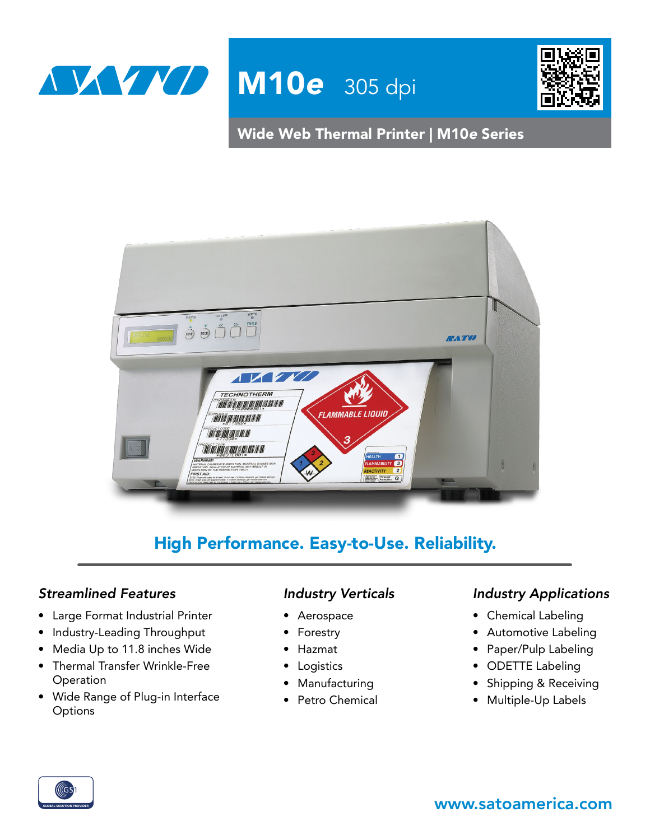



Wide Web Thermal Printer | M10*e* Series



# High Performance. Easy-to-Use. Reliability.

## *Streamlined Features*

- Large Format Industrial Printer
- Industry-Leading Throughput
- Media Up to 11.8 inches Wide
- Thermal Transfer Wrinkle-Free **Operation**
- Wide Range of Plug-in Interface **Options**

## *Industry Verticals*

- Aerospace
- Forestry
- Hazmat
- Logistics
- Manufacturing
- Petro Chemical

#### *Industry Applications*

- Chemical Labeling
- Automotive Labeling
- Paper/Pulp Labeling
- ODETTE Labeling
- Shipping & Receiving
- Multiple-Up Labels